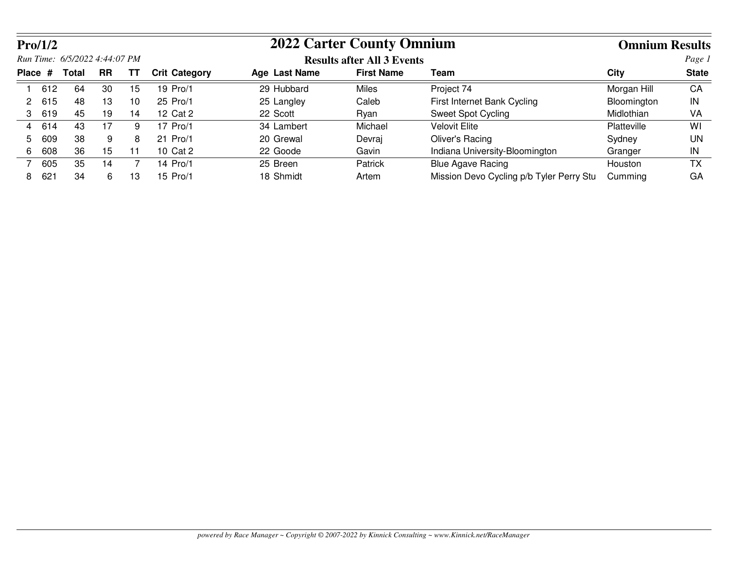|    | Pro/1/2         |                               |           |    |                      | <b>2022 Carter County Omnium</b> |                                   | <b>Omnium Results</b>                    |             |              |
|----|-----------------|-------------------------------|-----------|----|----------------------|----------------------------------|-----------------------------------|------------------------------------------|-------------|--------------|
|    |                 | Run Time: 6/5/2022 4:44:07 PM |           |    |                      |                                  | <b>Results after All 3 Events</b> |                                          |             | Page 1       |
|    | Place #         | <b>Total</b>                  | <b>RR</b> | TТ | <b>Crit Category</b> | Age Last Name                    | <b>First Name</b>                 | Team                                     | City        | <b>State</b> |
|    | 612             | 64                            | 30        | 15 | 19 Pro/1             | 29 Hubbard                       | Miles                             | Project 74                               | Morgan Hill | CA           |
| 2  | 615             | 48                            | 13        | 10 | 25 Pro/1             | 25 Langley                       | Caleb                             | First Internet Bank Cycling              | Bloomington | IN           |
| 3  | 619             | 45                            | 19        | 14 | 12 Cat 2             | 22 Scott                         | Ryan                              | Sweet Spot Cycling                       | Midlothian  | VA           |
| 4  | 614             | 43                            | 17        | 9  | 17 Pro/1             | 34 Lambert                       | Michael                           | <b>Velovit Elite</b>                     | Platteville | WI           |
| 5. | 609             | 38                            | 9         | 8  | 21 Pro/1             | 20 Grewal                        | Devraj                            | Oliver's Racing                          | Sydney      | UN           |
| 6. | 608             | 36                            | 15        | 11 | 10 Cat 2             | 22 Goode                         | Gavin                             | Indiana University-Bloomington           | Granger     | IN           |
|    | 605             | 35                            | 14        |    | 14 Pro/1             | 25 Breen                         | Patrick                           | <b>Blue Agave Racing</b>                 | Houston     | ТX           |
| 8. | 62 <sup>1</sup> | 34                            | 6         | 13 | 15 Pro/1             | 18 Shmidt                        | Artem                             | Mission Devo Cycling p/b Tyler Perry Stu | Cumming     | GA           |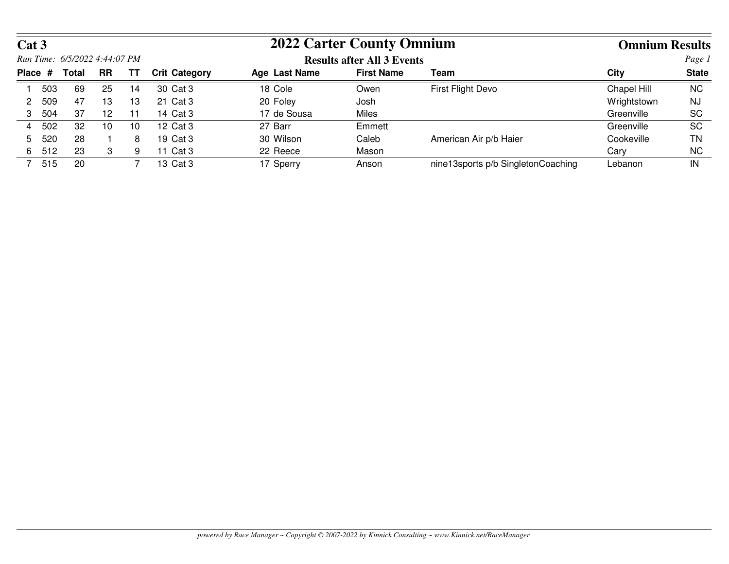| Cat 3 |         |                               |           |    |                      | <b>2022 Carter County Omnium</b>           |                                   | <b>Omnium Results</b>              |             |           |  |
|-------|---------|-------------------------------|-----------|----|----------------------|--------------------------------------------|-----------------------------------|------------------------------------|-------------|-----------|--|
|       |         | Run Time: 6/5/2022 4:44:07 PM |           |    |                      |                                            | <b>Results after All 3 Events</b> |                                    | Page 1      |           |  |
|       | Place # | Total                         | <b>RR</b> | ΤT | <b>Crit Category</b> | <b>First Name</b><br>Age Last Name<br>Team |                                   |                                    | City        |           |  |
|       | 503     | 69                            | 25        | 14 | 30 Cat 3             | 18 Cole                                    | Owen                              | First Flight Devo                  | Chapel Hill | NC.       |  |
|       | 509     | 47                            | 13        | 13 | 21 Cat 3             | 20 Foley                                   | Josh                              |                                    | Wrightstown | NJ        |  |
| 3     | 504     | 37                            | 12        | 11 | 14 Cat 3             | 17 de Sousa                                | Miles                             |                                    | Greenville  | <b>SC</b> |  |
| 4     | 502     | 32                            | 10        | 10 | 12 Cat 3             | 27 Barr                                    | Emmett                            |                                    | Greenville  | SC        |  |
| 5.    | 520     | 28                            |           | 8  | 19 Cat 3             | 30 Wilson                                  | Caleb                             | American Air p/b Haier             | Cookeville  | ΤN        |  |
| 6     | 512     | 23                            | 3         | 9  | 11 Cat 3             | 22 Reece                                   | Mason                             |                                    | Cary        | NC.       |  |
|       | 515     | 20                            |           |    | 13 Cat 3             | 17 Sperry                                  | Anson                             | nine13sports p/b SingletonCoaching | Lebanon     | IN        |  |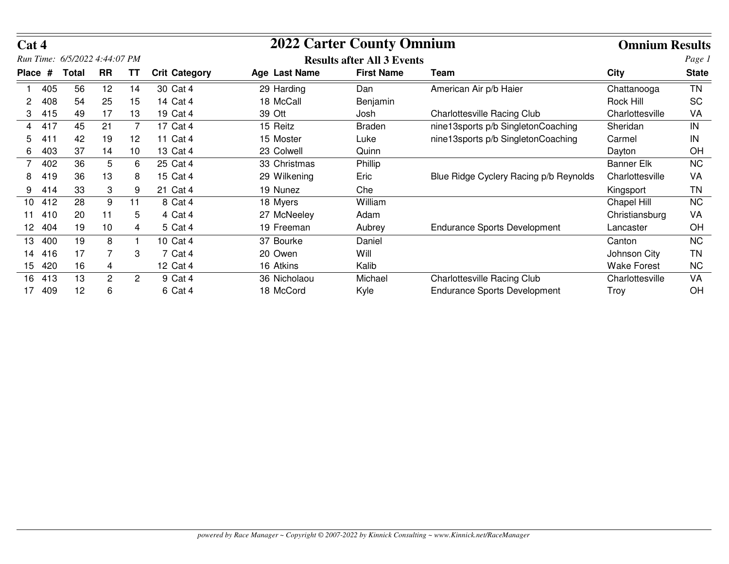| Cat 4   |     |                               |              |                |                      |               | <b>2022 Carter County Omnium</b>  |                                        | <b>Omnium Results</b> |              |
|---------|-----|-------------------------------|--------------|----------------|----------------------|---------------|-----------------------------------|----------------------------------------|-----------------------|--------------|
|         |     | Run Time: 6/5/2022 4:44:07 PM |              |                |                      |               | <b>Results after All 3 Events</b> |                                        |                       | Page 1       |
| Place # |     | <b>Total</b>                  | <b>RR</b>    | TΤ             | <b>Crit Category</b> | Age Last Name | <b>First Name</b>                 | Team                                   | <b>City</b>           | <b>State</b> |
|         | 405 | 56                            | 12           | 14             | 30 Cat 4             | 29 Harding    | Dan                               | American Air p/b Haier                 | Chattanooga           | TN           |
|         | 408 | 54                            | 25           | 15             | 14 Cat 4             | 18 McCall     | Benjamin                          |                                        | Rock Hill             | <b>SC</b>    |
|         | 415 | 49                            | 17           | 13             | 19 Cat 4             | 39 Ott        | Josh                              | <b>Charlottesville Racing Club</b>     | Charlottesville       | VA           |
| 4       | 417 | 45                            | 21           | 7              | 17 Cat 4             | 15 Reitz      | <b>Braden</b>                     | nine13sports p/b SingletonCoaching     | Sheridan              | IN           |
| 5.      | 411 | 42                            | 19           | 12             | 11 Cat 4             | 15 Moster     | Luke                              | nine13sports p/b SingletonCoaching     | Carmel                | IN           |
| 6       | 403 | 37                            | 14           | 10             | 13 Cat 4             | 23 Colwell    | Quinn                             |                                        | Dayton                | OH           |
|         | 402 | 36                            | 5            | 6              | 25 Cat 4             | 33 Christmas  | Phillip                           |                                        | <b>Banner Elk</b>     | <b>NC</b>    |
| 8       | 419 | 36                            | 13           | 8              | 15 Cat 4             | 29 Wilkening  | Eric                              | Blue Ridge Cyclery Racing p/b Reynolds | Charlottesville       | VA           |
| 9       | 414 | 33                            | 3            | 9              | 21 Cat 4             | 19 Nunez      | Che                               |                                        | Kingsport             | ΤN           |
| 10      | 412 | 28                            | 9            | 11             | 8 Cat 4              | 18 Myers      | William                           |                                        | Chapel Hill           | <b>NC</b>    |
| 11      | 410 | 20                            | 11           | 5              | 4 Cat 4              | 27 McNeeley   | Adam                              |                                        | Christiansburg        | VA           |
| 12.     | 404 | 19                            | 10           | 4              | 5 Cat 4              | 19 Freeman    | Aubrey                            | <b>Endurance Sports Development</b>    | Lancaster             | OH           |
| 13.     | 400 | 19                            | 8            |                | 10 Cat 4             | 37 Bourke     | Daniel                            |                                        | Canton                | <b>NC</b>    |
| 14      | 416 | 17                            | 7            | 3              | 7 Cat 4              | 20 Owen       | Will                              |                                        | Johnson City          | <b>TN</b>    |
| 15.     | 420 | 16                            | 4            |                | 12 Cat 4             | 16 Atkins     | Kalib                             |                                        | <b>Wake Forest</b>    | <b>NC</b>    |
| 16      | 413 | 13                            | $\mathbf{2}$ | $\overline{2}$ | 9 Cat 4              | 36 Nicholaou  | Michael                           | <b>Charlottesville Racing Club</b>     | Charlottesville       | VA           |
| 17      | 409 | 12                            | 6            |                | 6 Cat 4              | 18 McCord     | Kyle                              | <b>Endurance Sports Development</b>    | Troy                  | OH           |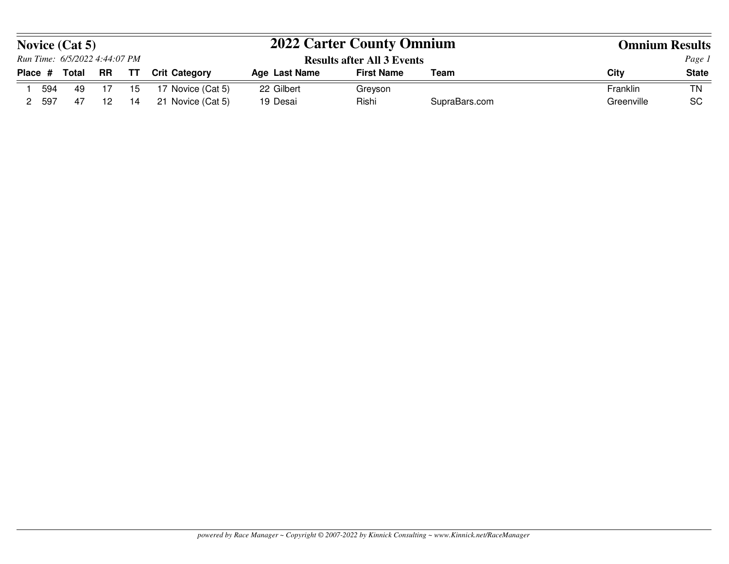|         |     | <b>Novice (Cat 5)</b>         |                  |    |                      | <b>2022 Carter County Omnium</b>  |                   | <b>Omnium Results</b> |            |              |
|---------|-----|-------------------------------|------------------|----|----------------------|-----------------------------------|-------------------|-----------------------|------------|--------------|
|         |     | Run Time: 6/5/2022 4:44:07 PM |                  |    |                      | <b>Results after All 3 Events</b> |                   | Page 1                |            |              |
| Place # |     | <b>Total</b>                  | <b>RR</b>        | TТ | <b>Crit Category</b> | Age Last Name                     | <b>First Name</b> | Team                  | City       | <b>State</b> |
|         | 594 | 49                            | - 17             | 15 | 17 Novice (Cat 5)    | 22 Gilbert                        | Greyson           |                       | Franklin   | <b>TN</b>    |
|         | 597 | -47                           | 12 <sup>12</sup> | 14 | 21 Novice (Cat 5)    | 19 Desai                          | Rishi             | SupraBars.com         | Greenville | <b>SC</b>    |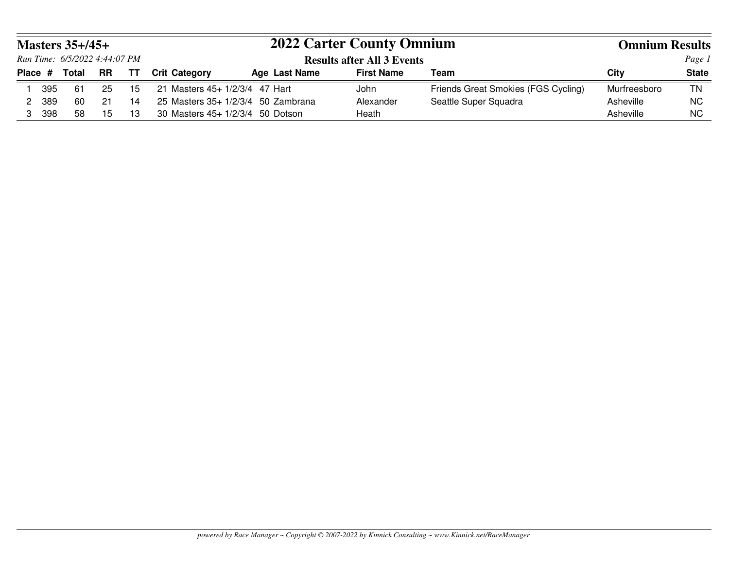|                               | Masters $35+/45+$             |    |    |                                  | <b>2022 Carter County Omnium</b>    |                   |                                     |              |              |
|-------------------------------|-------------------------------|----|----|----------------------------------|-------------------------------------|-------------------|-------------------------------------|--------------|--------------|
|                               | Run Time: 6/5/2022 4:44:07 PM |    |    |                                  | <b>Results after All 3 Events</b>   |                   | Page 1                              |              |              |
| <b>RR</b><br>Total<br>Place # |                               |    | TΤ | <b>Crit Category</b>             | Age Last Name                       | <b>First Name</b> | Team                                | City         | <b>State</b> |
| 395                           | -61                           | 25 | 15 | 21 Masters 45+ 1/2/3/4 47 Hart   |                                     | John              | Friends Great Smokies (FGS Cycling) | Murfreesboro | <b>TN</b>    |
| 389                           | 60                            | 21 | 14 |                                  | 25 Masters $35+1/2/3/4$ 50 Zambrana | Alexander         | Seattle Super Squadra               | Asheville    | <b>NC</b>    |
| 398                           | 58                            | 15 | 13 | 30 Masters 45+ 1/2/3/4 50 Dotson |                                     | Heath             |                                     | Asheville    | <b>NC</b>    |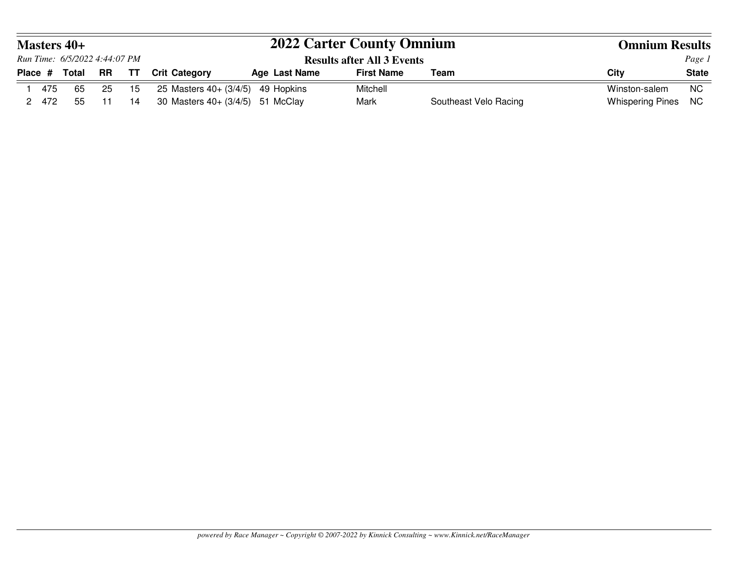|         | <b>Masters 40+</b><br>Run Time: 6/5/2022 4:44:07 PM |              |    |      |                                      | <b>2022 Carter County Omnium</b> | <b>Omnium Results</b>             |                       |                     |              |  |
|---------|-----------------------------------------------------|--------------|----|------|--------------------------------------|----------------------------------|-----------------------------------|-----------------------|---------------------|--------------|--|
|         |                                                     |              |    |      |                                      |                                  | <b>Results after All 3 Events</b> |                       | Page 1              |              |  |
| Place # |                                                     | <b>Total</b> | RR | TT   | <b>Crit Category</b>                 | <b>Age Last Name</b>             | <b>First Name</b>                 | Team                  | City                | <b>State</b> |  |
|         | 475                                                 | 65           | 25 | - 15 | 25 Masters $40 + (3/4/5)$ 49 Hopkins |                                  | Mitchell                          |                       | Winston-salem       | NC           |  |
|         | 2 472                                               | 55           | 11 | 14   | 30 Masters 40+ (3/4/5) 51 McClay     |                                  | Mark                              | Southeast Velo Racing | Whispering Pines NC |              |  |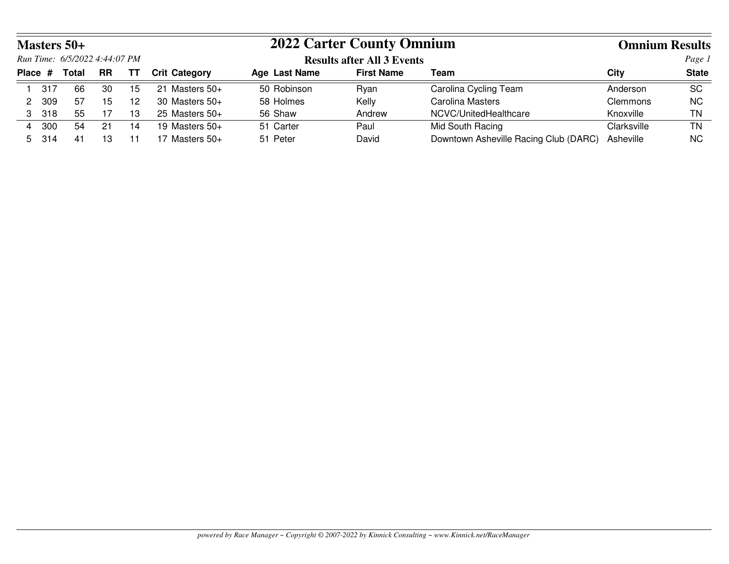|   |         | <b>Masters 50+</b>            |           |    |                      | <b>2022 Carter County Omnium</b> |                                   |                                       |                 | <b>Omnium Results</b> |  |  |
|---|---------|-------------------------------|-----------|----|----------------------|----------------------------------|-----------------------------------|---------------------------------------|-----------------|-----------------------|--|--|
|   |         | Run Time: 6/5/2022 4:44:07 PM |           |    |                      |                                  | <b>Results after All 3 Events</b> |                                       |                 | Page 1                |  |  |
|   | Place # | Total                         | <b>RR</b> | TТ | <b>Crit Category</b> | Age Last Name                    | <b>First Name</b>                 | Team                                  | City            | <b>State</b>          |  |  |
|   | 317     | 66                            | 30        | 15 | Masters 50+<br>-21   | 50 Robinson                      | Rvan                              | Carolina Cycling Team                 | Anderson        | <b>SC</b>             |  |  |
| 2 | 309     | 57                            | 15        | 12 | 30 Masters $50+$     | 58 Holmes                        | Kelly                             | <b>Carolina Masters</b>               | <b>Clemmons</b> | <b>NC</b>             |  |  |
|   | 3 318   | 55                            | 17        | 13 | 25 Masters $50+$     | 56 Shaw                          | Andrew                            | NCVC/UnitedHealthcare                 | Knoxville       | <b>TN</b>             |  |  |
| 4 | 300     | 54                            | 21        | 14 | 19 Masters $50+$     | 51 Carter                        | Paul                              | Mid South Racing                      | Clarksville     | <b>TN</b>             |  |  |
|   | 5 314   | -41                           | 13        | 11 | 17 Masters $50+$     | 51 Peter                         | David                             | Downtown Asheville Racing Club (DARC) | Asheville       | <b>NC</b>             |  |  |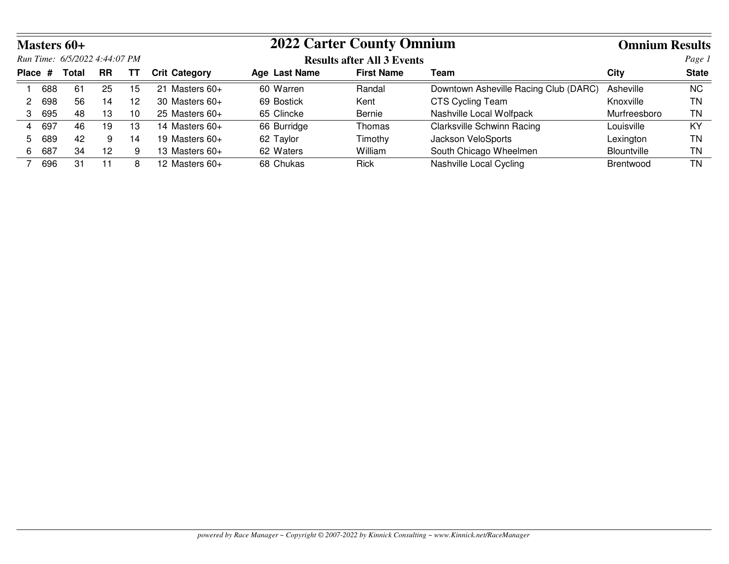|    |                                            | <b>Masters 60+</b>            |                 |    |                      | <b>2022 Carter County Omnium</b> | <b>Omnium Results</b>             |                                       |                    |              |  |
|----|--------------------------------------------|-------------------------------|-----------------|----|----------------------|----------------------------------|-----------------------------------|---------------------------------------|--------------------|--------------|--|
|    |                                            | Run Time: 6/5/2022 4:44:07 PM |                 |    |                      |                                  | <b>Results after All 3 Events</b> |                                       |                    | Page 1       |  |
|    | Place #<br><b>RR</b><br><b>Total</b><br>TТ |                               |                 |    | <b>Crit Category</b> | Age Last Name                    | <b>First Name</b>                 | Team                                  | City               | <b>State</b> |  |
|    | 688                                        | 61                            | 25              | 15 | Masters 60+<br>21    | 60 Warren                        | Randal                            | Downtown Asheville Racing Club (DARC) | Asheville          | <b>NC</b>    |  |
|    | 698                                        | 56                            | 14              | 12 | 30 Masters $60+$     | 69 Bostick                       | Kent                              | <b>CTS Cycling Team</b>               | Knoxville          | ΤN           |  |
| 3  | 695                                        | 48                            | 13              | 10 | $25$ Masters $60+$   | 65 Clincke                       | Bernie                            | Nashville Local Wolfpack              | Murfreesboro       | ΤN           |  |
| 4  | 697                                        | 46                            | 19              | 13 | 14 Masters $60+$     | 66 Burridge                      | Thomas                            | <b>Clarksville Schwinn Racing</b>     | Louisville         | KY           |  |
| 5. | 689                                        | 42                            | 9               | 14 | 19 Masters $60+$     | 62 Taylor                        | Timothy                           | Jackson VeloSports                    | Lexington          | ΤN           |  |
| 6  | 687                                        | 34                            | 12 <sup>2</sup> | 9  | 13 Masters $60+$     | 62 Waters                        | William                           | South Chicago Wheelmen                | <b>Blountville</b> | ΤN           |  |
|    | 696                                        | 31                            |                 | 8  | 12 Masters $60+$     | 68 Chukas                        | <b>Rick</b>                       | Nashville Local Cycling               | <b>Brentwood</b>   | ΤN           |  |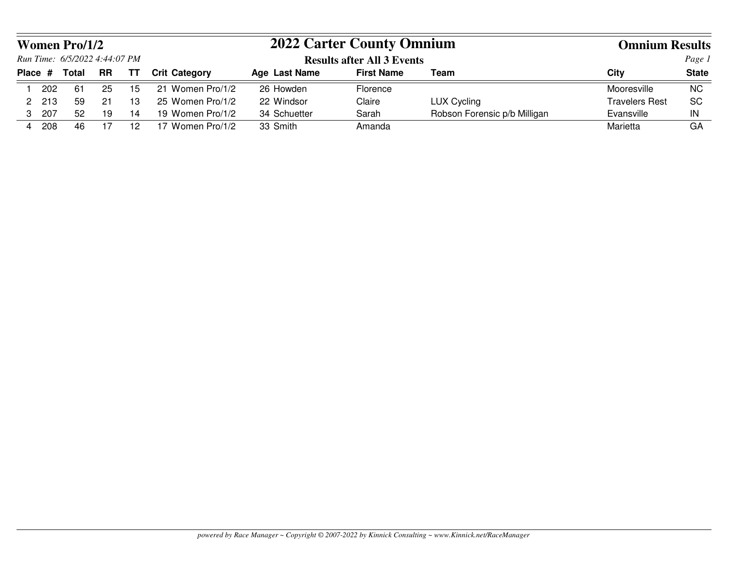|   |         | <b>Women Pro/1/2</b>          |           |           |                      | <b>2022 Carter County Omnium</b>  | <b>Omnium Results</b> |                              |                       |              |
|---|---------|-------------------------------|-----------|-----------|----------------------|-----------------------------------|-----------------------|------------------------------|-----------------------|--------------|
|   |         | Run Time: 6/5/2022 4:44:07 PM |           |           |                      | <b>Results after All 3 Events</b> |                       | Page 1                       |                       |              |
|   | Place # | <b>Total</b>                  | <b>RR</b> | <b>TT</b> | <b>Crit Category</b> | Age Last Name                     | <b>First Name</b>     | Team                         | City                  | <b>State</b> |
|   | 202     | -61                           | 25        | 15        | Women Pro/1/2<br>21  | 26 Howden                         | Florence              |                              | Mooresville           | <b>NC</b>    |
|   | 213     | 59                            | 21        | 13        | 25 Women Pro/1/2     | 22 Windsor                        | Claire                | <b>LUX Cycling</b>           | <b>Travelers Rest</b> | <b>SC</b>    |
| 3 | 207     | 52                            | 19        | 14        | 19 Women Pro/1/2     | 34 Schuetter                      | Sarah                 | Robson Forensic p/b Milligan | Evansville            | IN           |
| 4 | 208     | 46                            |           | 12        | 17 Women Pro/1/2     | 33 Smith                          | Amanda                |                              | Marietta              | GA           |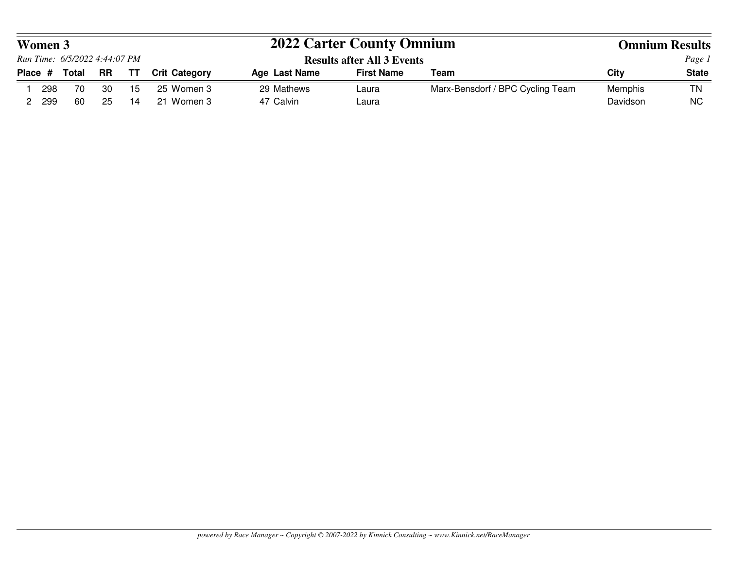| Women 3 |     |                               |     |     |                      | <b>2022 Carter County Omnium</b>  |                   | <b>Omnium Results</b>            |          |              |
|---------|-----|-------------------------------|-----|-----|----------------------|-----------------------------------|-------------------|----------------------------------|----------|--------------|
|         |     | Run Time: 6/5/2022 4:44:07 PM |     |     |                      | <b>Results after All 3 Events</b> |                   |                                  | Page 1   |              |
| Place # |     | Total                         | RR  | TT. | <b>Crit Category</b> | <b>Age Last Name</b>              | <b>First Name</b> | Team                             | City     | <b>State</b> |
|         | 298 | 70                            | -30 | 15  | 25 Women 3           | 29 Mathews                        | Laura             | Marx-Bensdorf / BPC Cycling Team | Memphis  | <b>TN</b>    |
|         | 299 | 60                            | -25 | 14  | 21 Women 3           | 47 Calvin                         | Laura             |                                  | Davidson | <b>NC</b>    |